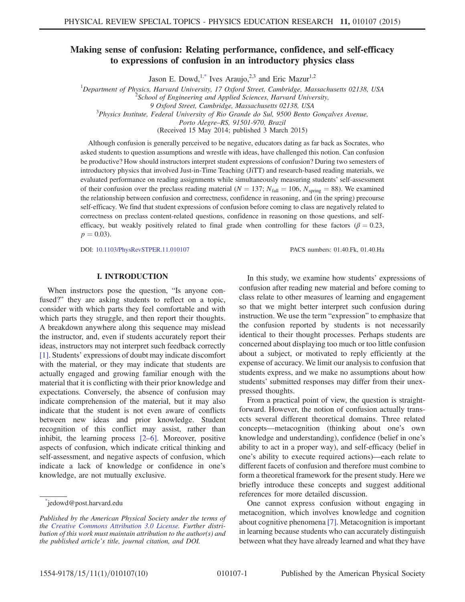# Making sense of confusion: Relating performance, confidence, and self-efficacy to expressions of confusion in an introductory physics class

Jason E. Dowd,<sup>1[,\\*](#page-0-0)</sup> Ives Araujo,<sup>2,3</sup> and Eric Mazur<sup>1,2</sup>

<span id="page-0-1"></span><sup>1</sup>Department of Physics, Harvard University, 17 Oxford Street, Cambridge, Massachusetts 02138, USA  $^{2}$ School of Engineering and Applied Sciences, Hamvard University  $\alpha^2$ School of Engineering and Applied Sciences, Harvard University,

9 Oxford Street, Cambridge, Massachusetts 02138, USA <sup>3</sup>

<sup>5</sup>Physics Institute, Federal University of Rio Grande do Sul, 9500 Bento Gonçalves Avenue,

Porto Alegre–RS, 91501-970, Brazil

(Received 15 May 2014; published 3 March 2015)

Although confusion is generally perceived to be negative, educators dating as far back as Socrates, who asked students to question assumptions and wrestle with ideas, have challenged this notion. Can confusion be productive? How should instructors interpret student expressions of confusion? During two semesters of introductory physics that involved Just-in-Time Teaching (JiTT) and research-based reading materials, we evaluated performance on reading assignments while simultaneously measuring students' self-assessment of their confusion over the preclass reading material ( $N = 137$ ;  $N_{fall} = 106$ ,  $N_{spring} = 88$ ). We examined the relationship between confusion and correctness, confidence in reasoning, and (in the spring) precourse self-efficacy. We find that student expressions of confusion before coming to class are negatively related to correctness on preclass content-related questions, confidence in reasoning on those questions, and selfefficacy, but weakly positively related to final grade when controlling for these factors ( $\beta = 0.23$ ,  $p = 0.03$ .

DOI: [10.1103/PhysRevSTPER.11.010107](http://dx.doi.org/10.1103/PhysRevSTPER.11.010107) PACS numbers: 01.40.Fk, 01.40.Ha

# I. INTRODUCTION

When instructors pose the question, "Is anyone confused?" they are asking students to reflect on a topic, consider with which parts they feel comfortable and with which parts they struggle, and then report their thoughts. A breakdown anywhere along this sequence may mislead the instructor, and, even if students accurately report their ideas, instructors may not interpret such feedback correctly [\[1\]](#page-8-0). Students' expressions of doubt may indicate discomfort with the material, or they may indicate that students are actually engaged and growing familiar enough with the material that it is conflicting with their prior knowledge and expectations. Conversely, the absence of confusion may indicate comprehension of the material, but it may also indicate that the student is not even aware of conflicts between new ideas and prior knowledge. Student recognition of this conflict may assist, rather than inhibit, the learning process [2–[6\].](#page-8-1) Moreover, positive aspects of confusion, which indicate critical thinking and self-assessment, and negative aspects of confusion, which indicate a lack of knowledge or confidence in one's knowledge, are not mutually exclusive.

In this study, we examine how students' expressions of confusion after reading new material and before coming to class relate to other measures of learning and engagement so that we might better interpret such confusion during instruction. We use the term "expression" to emphasize that the confusion reported by students is not necessarily identical to their thought processes. Perhaps students are concerned about displaying too much or too little confusion about a subject, or motivated to reply efficiently at the expense of accuracy. We limit our analysis to confusion that students express, and we make no assumptions about how students' submitted responses may differ from their unexpressed thoughts.

From a practical point of view, the question is straightforward. However, the notion of confusion actually transects several different theoretical domains. Three related concepts—metacognition (thinking about one's own knowledge and understanding), confidence (belief in one's ability to act in a proper way), and self-efficacy (belief in one's ability to execute required actions)—each relate to different facets of confusion and therefore must combine to form a theoretical framework for the present study. Here we briefly introduce these concepts and suggest additional references for more detailed discussion.

One cannot express confusion without engaging in metacognition, which involves knowledge and cognition about cognitive phenomena [\[7\]](#page-8-2). Metacognition is important in learning because students who can accurately distinguish between what they have already learned and what they have

<span id="page-0-0"></span>[<sup>\\*</sup>](#page-0-1) jedowd@post.harvard.edu

Published by the American Physical Society under the terms of the [Creative Commons Attribution 3.0 License.](http://creativecommons.org/licenses/by/3.0/) Further distribution of this work must maintain attribution to the author(s) and the published article's title, journal citation, and DOI.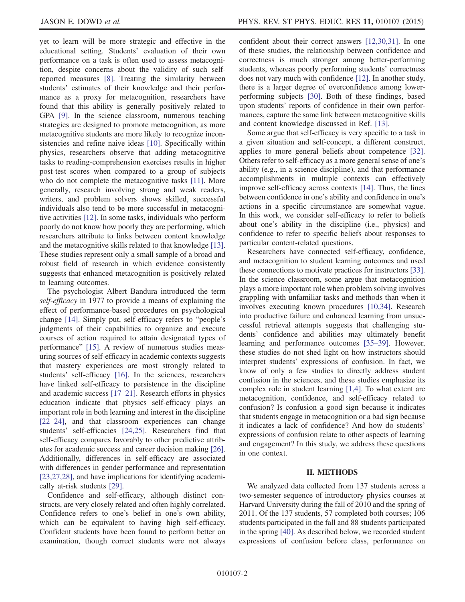yet to learn will be more strategic and effective in the educational setting. Students' evaluation of their own performance on a task is often used to assess metacognition, despite concerns about the validity of such selfreported measures [\[8\].](#page-8-3) Treating the similarity between students' estimates of their knowledge and their performance as a proxy for metacognition, researchers have found that this ability is generally positively related to GPA [\[9\]](#page-8-4). In the science classroom, numerous teaching strategies are designed to promote metacognition, as more metacognitive students are more likely to recognize inconsistencies and refine naive ideas [\[10\].](#page-8-5) Specifically within physics, researchers observe that adding metacognitive tasks to reading-comprehension exercises results in higher post-test scores when compared to a group of subjects who do not complete the metacognitive tasks [\[11\]](#page-8-6). More generally, research involving strong and weak readers, writers, and problem solvers shows skilled, successful individuals also tend to be more successful in metacognitive activities [\[12\].](#page-8-7) In some tasks, individuals who perform poorly do not know how poorly they are performing, which researchers attribute to links between content knowledge and the metacognitive skills related to that knowledge [\[13\]](#page-8-8). These studies represent only a small sample of a broad and robust field of research in which evidence consistently suggests that enhanced metacognition is positively related to learning outcomes.

The psychologist Albert Bandura introduced the term self-efficacy in 1977 to provide a means of explaining the effect of performance-based procedures on psychological change [\[14\].](#page-8-9) Simply put, self-efficacy refers to "people's judgments of their capabilities to organize and execute courses of action required to attain designated types of performance" [\[15\]](#page-8-10). A review of numerous studies measuring sources of self-efficacy in academic contexts suggests that mastery experiences are most strongly related to students' self-efficacy [\[16\].](#page-8-11) In the sciences, researchers have linked self-efficacy to persistence in the discipline and academic success [17–[21\].](#page-8-12) Research efforts in physics education indicate that physics self-efficacy plays an important role in both learning and interest in the discipline [\[22](#page-9-0)–24], and that classroom experiences can change students' self-efficacies [\[24,25\].](#page-9-1) Researchers find that self-efficacy compares favorably to other predictive attributes for academic success and career decision making [\[26\]](#page-9-2). Additionally, differences in self-efficacy are associated with differences in gender performance and representation [\[23,27,28\]](#page-9-3), and have implications for identifying academically at-risk students [\[29\].](#page-9-4)

Confidence and self-efficacy, although distinct constructs, are very closely related and often highly correlated. Confidence refers to one's belief in one's own ability, which can be equivalent to having high self-efficacy. Confident students have been found to perform better on examination, though correct students were not always confident about their correct answers [\[12,30,31\].](#page-8-7) In one of these studies, the relationship between confidence and correctness is much stronger among better-performing students, whereas poorly performing students' correctness does not vary much with confidence [\[12\]](#page-8-7). In another study, there is a larger degree of overconfidence among lowerperforming subjects [\[30\]](#page-9-5). Both of these findings, based upon students' reports of confidence in their own performances, capture the same link between metacognitive skills and content knowledge discussed in Ref. [\[13\].](#page-8-8)

Some argue that self-efficacy is very specific to a task in a given situation and self-concept, a different construct, applies to more general beliefs about competence [\[32\]](#page-9-6). Others refer to self-efficacy as a more general sense of one's ability (e.g., in a science discipline), and that performance accomplishments in multiple contexts can effectively improve self-efficacy across contexts [\[14\].](#page-8-9) Thus, the lines between confidence in one's ability and confidence in one's actions in a specific circumstance are somewhat vague. In this work, we consider self-efficacy to refer to beliefs about one's ability in the discipline (i.e., physics) and confidence to refer to specific beliefs about responses to particular content-related questions.

Researchers have connected self-efficacy, confidence, and metacognition to student learning outcomes and used these connections to motivate practices for instructors [\[33\]](#page-9-7). In the science classroom, some argue that metacognition plays a more important role when problem solving involves grappling with unfamiliar tasks and methods than when it involves executing known procedures [\[10,34\]](#page-8-5). Research into productive failure and enhanced learning from unsuccessful retrieval attempts suggests that challenging students' confidence and abilities may ultimately benefit learning and performance outcomes [35–[39\].](#page-9-8) However, these studies do not shed light on how instructors should interpret students' expressions of confusion. In fact, we know of only a few studies to directly address student confusion in the sciences, and these studies emphasize its complex role in student learning [\[1,4\]](#page-8-0). To what extent are metacognition, confidence, and self-efficacy related to confusion? Is confusion a good sign because it indicates that students engage in metacognition or a bad sign because it indicates a lack of confidence? And how do students' expressions of confusion relate to other aspects of learning and engagement? In this study, we address these questions in one context.

# II. METHODS

We analyzed data collected from 137 students across a two-semester sequence of introductory physics courses at Harvard University during the fall of 2010 and the spring of 2011. Of the 137 students, 57 completed both courses; 106 students participated in the fall and 88 students participated in the spring [\[40\]](#page-9-9). As described below, we recorded student expressions of confusion before class, performance on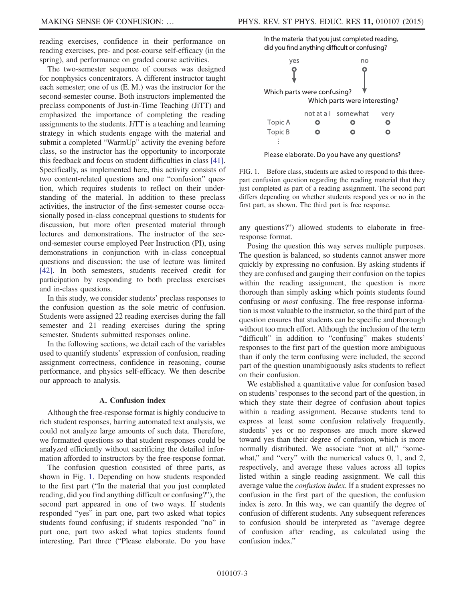reading exercises, confidence in their performance on reading exercises, pre- and post-course self-efficacy (in the spring), and performance on graded course activities.

The two-semester sequence of courses was designed for nonphysics concentrators. A different instructor taught each semester; one of us (E. M.) was the instructor for the second-semester course. Both instructors implemented the preclass components of Just-in-Time Teaching (JiTT) and emphasized the importance of completing the reading assignments to the students. JiTT is a teaching and learning strategy in which students engage with the material and submit a completed "WarmUp" activity the evening before class, so the instructor has the opportunity to incorporate this feedback and focus on student difficulties in class [\[41\]](#page-9-10). Specifically, as implemented here, this activity consists of two content-related questions and one "confusion" question, which requires students to reflect on their understanding of the material. In addition to these preclass activities, the instructor of the first-semester course occasionally posed in-class conceptual questions to students for discussion, but more often presented material through lectures and demonstrations. The instructor of the second-semester course employed Peer Instruction (PI), using demonstrations in conjunction with in-class conceptual questions and discussion; the use of lecture was limited [\[42\]](#page-9-11). In both semesters, students received credit for participation by responding to both preclass exercises and in-class questions.

In this study, we consider students' preclass responses to the confusion question as the sole metric of confusion. Students were assigned 22 reading exercises during the fall semester and 21 reading exercises during the spring semester. Students submitted responses online.

In the following sections, we detail each of the variables used to quantify students' expression of confusion, reading assignment correctness, confidence in reasoning, course performance, and physics self-efficacy. We then describe our approach to analysis.

#### A. Confusion index

Although the free-response format is highly conducive to rich student responses, barring automated text analysis, we could not analyze large amounts of such data. Therefore, we formatted questions so that student responses could be analyzed efficiently without sacrificing the detailed information afforded to instructors by the free-response format.

The confusion question consisted of three parts, as shown in Fig. [1.](#page-2-0) Depending on how students responded to the first part ("In the material that you just completed reading, did you find anything difficult or confusing?"), the second part appeared in one of two ways. If students responded "yes" in part one, part two asked what topics students found confusing; if students responded "no" in part one, part two asked what topics students found interesting. Part three ("Please elaborate. Do you have

<span id="page-2-0"></span>

| yes                           |  | no                  |      |  |  |
|-------------------------------|--|---------------------|------|--|--|
| Which parts were confusing?   |  |                     |      |  |  |
| Which parts were interesting? |  |                     |      |  |  |
|                               |  | not at all somewhat | very |  |  |
| Topic A                       |  | O                   |      |  |  |
| Topic B                       |  |                     |      |  |  |
|                               |  |                     |      |  |  |

Please elaborate. Do you have any questions?

FIG. 1. Before class, students are asked to respond to this threepart confusion question regarding the reading material that they just completed as part of a reading assignment. The second part differs depending on whether students respond yes or no in the first part, as shown. The third part is free response.

any questions?") allowed students to elaborate in freeresponse format.

Posing the question this way serves multiple purposes. The question is balanced, so students cannot answer more quickly by expressing no confusion. By asking students if they are confused and gauging their confusion on the topics within the reading assignment, the question is more thorough than simply asking which points students found confusing or most confusing. The free-response information is most valuable to the instructor, so the third part of the question ensures that students can be specific and thorough without too much effort. Although the inclusion of the term "difficult" in addition to "confusing" makes students' responses to the first part of the question more ambiguous than if only the term confusing were included, the second part of the question unambiguously asks students to reflect on their confusion.

We established a quantitative value for confusion based on students' responses to the second part of the question, in which they state their degree of confusion about topics within a reading assignment. Because students tend to express at least some confusion relatively frequently, students' yes or no responses are much more skewed toward yes than their degree of confusion, which is more normally distributed. We associate "not at all," "somewhat," and "very" with the numerical values 0, 1, and 2, respectively, and average these values across all topics listed within a single reading assignment. We call this average value the confusion index. If a student expresses no confusion in the first part of the question, the confusion index is zero. In this way, we can quantify the degree of confusion of different students. Any subsequent references to confusion should be interpreted as "average degree of confusion after reading, as calculated using the confusion index."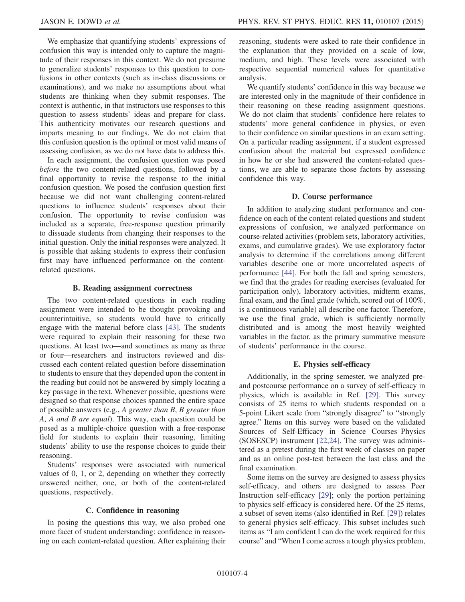We emphasize that quantifying students' expressions of confusion this way is intended only to capture the magnitude of their responses in this context. We do not presume to generalize students' responses to this question to confusions in other contexts (such as in-class discussions or examinations), and we make no assumptions about what students are thinking when they submit responses. The context is authentic, in that instructors use responses to this question to assess students' ideas and prepare for class. This authenticity motivates our research questions and imparts meaning to our findings. We do not claim that this confusion question is the optimal or most valid means of assessing confusion, as we do not have data to address this.

In each assignment, the confusion question was posed before the two content-related questions, followed by a final opportunity to revise the response to the initial confusion question. We posed the confusion question first because we did not want challenging content-related questions to influence students' responses about their confusion. The opportunity to revise confusion was included as a separate, free-response question primarily to dissuade students from changing their responses to the initial question. Only the initial responses were analyzed. It is possible that asking students to express their confusion first may have influenced performance on the contentrelated questions.

## B. Reading assignment correctness

The two content-related questions in each reading assignment were intended to be thought provoking and counterintuitive, so students would have to critically engage with the material before class [\[43\].](#page-9-12) The students were required to explain their reasoning for these two questions. At least two—and sometimes as many as three or four—researchers and instructors reviewed and discussed each content-related question before dissemination to students to ensure that they depended upon the content in the reading but could not be answered by simply locating a key passage in the text. Whenever possible, questions were designed so that response choices spanned the entire space of possible answers (e.g., A greater than B, B greater than A, A and B are equal). This way, each question could be posed as a multiple-choice question with a free-response field for students to explain their reasoning, limiting students' ability to use the response choices to guide their reasoning.

Students' responses were associated with numerical values of 0, 1, or 2, depending on whether they correctly answered neither, one, or both of the content-related questions, respectively.

# C. Confidence in reasoning

In posing the questions this way, we also probed one more facet of student understanding: confidence in reasoning on each content-related question. After explaining their reasoning, students were asked to rate their confidence in the explanation that they provided on a scale of low, medium, and high. These levels were associated with respective sequential numerical values for quantitative analysis.

We quantify students' confidence in this way because we are interested only in the magnitude of their confidence in their reasoning on these reading assignment questions. We do not claim that students' confidence here relates to students' more general confidence in physics, or even to their confidence on similar questions in an exam setting. On a particular reading assignment, if a student expressed confusion about the material but expressed confidence in how he or she had answered the content-related questions, we are able to separate those factors by assessing confidence this way.

# D. Course performance

In addition to analyzing student performance and confidence on each of the content-related questions and student expressions of confusion, we analyzed performance on course-related activities (problem sets, laboratory activities, exams, and cumulative grades). We use exploratory factor analysis to determine if the correlations among different variables describe one or more uncorrelated aspects of performance [\[44\]](#page-9-13). For both the fall and spring semesters, we find that the grades for reading exercises (evaluated for participation only), laboratory activities, midterm exams, final exam, and the final grade (which, scored out of 100%, is a continuous variable) all describe one factor. Therefore, we use the final grade, which is sufficiently normally distributed and is among the most heavily weighted variables in the factor, as the primary summative measure of students' performance in the course.

# E. Physics self-efficacy

Additionally, in the spring semester, we analyzed preand postcourse performance on a survey of self-efficacy in physics, which is available in Ref. [\[29\].](#page-9-4) This survey consists of 25 items to which students responded on a 5-point Likert scale from "strongly disagree" to "strongly agree." Items on this survey were based on the validated Sources of Self-Efficacy in Science Courses–Physics (SOSESCP) instrument [\[22,24\]](#page-9-0). The survey was administered as a pretest during the first week of classes on paper and as an online post-test between the last class and the final examination.

Some items on the survey are designed to assess physics self-efficacy, and others are designed to assess Peer Instruction self-efficacy [\[29\];](#page-9-4) only the portion pertaining to physics self-efficacy is considered here. Of the 25 items, a subset of seven items (also identified in Ref. [\[29\]](#page-9-4)) relates to general physics self-efficacy. This subset includes such items as "I am confident I can do the work required for this course" and "When I come across a tough physics problem,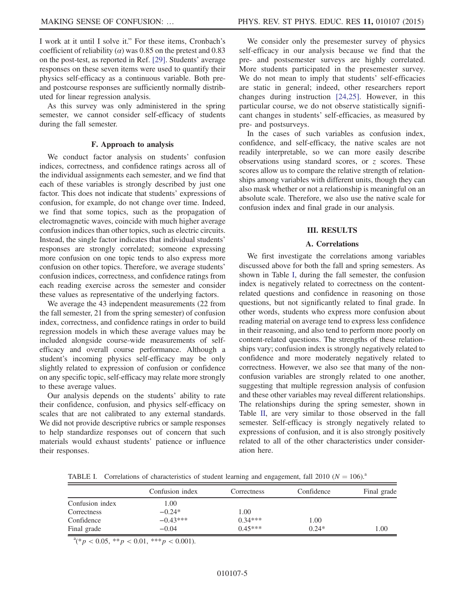I work at it until I solve it." For these items, Cronbach's coefficient of reliability ( $\alpha$ ) was 0.85 on the pretest and 0.83 on the post-test, as reported in Ref. [\[29\].](#page-9-4) Students' average responses on these seven items were used to quantify their physics self-efficacy as a continuous variable. Both preand postcourse responses are sufficiently normally distributed for linear regression analysis.

As this survey was only administered in the spring semester, we cannot consider self-efficacy of students during the fall semester.

#### F. Approach to analysis

We conduct factor analysis on students' confusion indices, correctness, and confidence ratings across all of the individual assignments each semester, and we find that each of these variables is strongly described by just one factor. This does not indicate that students' expressions of confusion, for example, do not change over time. Indeed, we find that some topics, such as the propagation of electromagnetic waves, coincide with much higher average confusion indices than other topics, such as electric circuits. Instead, the single factor indicates that individual students' responses are strongly correlated; someone expressing more confusion on one topic tends to also express more confusion on other topics. Therefore, we average students' confusion indices, correctness, and confidence ratings from each reading exercise across the semester and consider these values as representative of the underlying factors.

We average the 43 independent measurements (22 from the fall semester, 21 from the spring semester) of confusion index, correctness, and confidence ratings in order to build regression models in which these average values may be included alongside course-wide measurements of selfefficacy and overall course performance. Although a student's incoming physics self-efficacy may be only slightly related to expression of confusion or confidence on any specific topic, self-efficacy may relate more strongly to these average values.

Our analysis depends on the students' ability to rate their confidence, confusion, and physics self-efficacy on scales that are not calibrated to any external standards. We did not provide descriptive rubrics or sample responses to help standardize responses out of concern that such materials would exhaust students' patience or influence their responses.

We consider only the presemester survey of physics self-efficacy in our analysis because we find that the pre- and postsemester surveys are highly correlated. More students participated in the presemester survey. We do not mean to imply that students' self-efficacies are static in general; indeed, other researchers report changes during instruction [\[24,25\]](#page-9-1). However, in this particular course, we do not observe statistically significant changes in students' self-efficacies, as measured by pre- and postsurveys.

In the cases of such variables as confusion index, confidence, and self-efficacy, the native scales are not readily interpretable, so we can more easily describe observations using standard scores, or z scores. These scores allow us to compare the relative strength of relationships among variables with different units, though they can also mask whether or not a relationship is meaningful on an absolute scale. Therefore, we also use the native scale for confusion index and final grade in our analysis.

## III. RESULTS

#### A. Correlations

We first investigate the correlations among variables discussed above for both the fall and spring semesters. As shown in Table [I](#page-4-0), during the fall semester, the confusion index is negatively related to correctness on the contentrelated questions and confidence in reasoning on those questions, but not significantly related to final grade. In other words, students who express more confusion about reading material on average tend to express less confidence in their reasoning, and also tend to perform more poorly on content-related questions. The strengths of these relationships vary; confusion index is strongly negatively related to confidence and more moderately negatively related to correctness. However, we also see that many of the nonconfusion variables are strongly related to one another, suggesting that multiple regression analysis of confusion and these other variables may reveal different relationships. The relationships during the spring semester, shown in Table [II,](#page-5-0) are very similar to those observed in the fall semester. Self-efficacy is strongly negatively related to expressions of confusion, and it is also strongly positively related to all of the other characteristics under consideration here.

<span id="page-4-0"></span>TABLE I. Correlations of characteristics of student learning and engagement, fall 2010 ( $N = 106$ ).<sup>a</sup>

|                 | Confusion index | Correctness | Confidence | Final grade |
|-----------------|-----------------|-------------|------------|-------------|
| Confusion index | 1.00            |             |            |             |
| Correctness     | $-0.24*$        | 1.00        |            |             |
| Confidence      | $-0.43***$      | $0.34***$   | 1.00       |             |
| Final grade     | $-0.04$         | $0.45***$   | $0.24*$    | 1.00        |

 $a^*(p < 0.05, **p < 0.01, **p < 0.001).$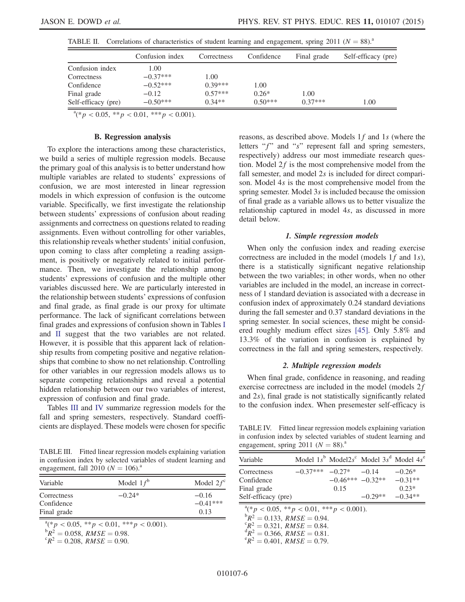|                     | Confusion index | Correctness | Confidence | Final grade | Self-efficacy (pre) |
|---------------------|-----------------|-------------|------------|-------------|---------------------|
| Confusion index     | 1.00            |             |            |             |                     |
| Correctness         | $-0.37***$      | 1.00        |            |             |                     |
| Confidence          | $-0.52***$      | $0.39***$   | 1.00       |             |                     |
| Final grade         | $-0.12$         | $0.57***$   | $0.26*$    | 1.00        |                     |
| Self-efficacy (pre) | $-0.50***$      | $0.34**$    | $0.50***$  | $0.37***$   | 1.00                |

<span id="page-5-0"></span>TABLE II. Correlations of characteristics of student learning and engagement, spring 2011 ( $N = 88$ ).<sup>a</sup>

 $a^*(p < 0.05, **p < 0.01, **p < 0.001).$ 

### B. Regression analysis

To explore the interactions among these characteristics, we build a series of multiple regression models. Because the primary goal of this analysis is to better understand how multiple variables are related to students' expressions of confusion, we are most interested in linear regression models in which expression of confusion is the outcome variable. Specifically, we first investigate the relationship between students' expressions of confusion about reading assignments and correctness on questions related to reading assignments. Even without controlling for other variables, this relationship reveals whether students' initial confusion, upon coming to class after completing a reading assignment, is positively or negatively related to initial performance. Then, we investigate the relationship among students' expressions of confusion and the multiple other variables discussed here. We are particularly interested in the relationship between students' expressions of confusion and final grade, as final grade is our proxy for ultimate performance. The lack of significant correlations between final grades and expressions of confusion shown in Tables [I](#page-4-0) and [II](#page-5-0) suggest that the two variables are not related. However, it is possible that this apparent lack of relationship results from competing positive and negative relationships that combine to show no net relationship. Controlling for other variables in our regression models allows us to separate competing relationships and reveal a potential hidden relationship between our two variables of interest, expression of confusion and final grade.

Tables [III](#page-5-1) and [IV](#page-5-2) summarize regression models for the fall and spring semesters, respectively. Standard coefficients are displayed. These models were chosen for specific

<span id="page-5-1"></span>TABLE III. Fitted linear regression models explaining variation in confusion index by selected variables of student learning and engagement, fall 2010 ( $N = 106$ ).<sup>a</sup>

| Variable    | Model $1f^b$                                              | Model $2f^c$ |
|-------------|-----------------------------------------------------------|--------------|
| Correctness | $-0.24*$                                                  | $-0.16$      |
| Confidence  |                                                           | $-0.41***$   |
| Final grade |                                                           | 0.13         |
|             | $^{a}$ (* $p < 0.05$ , ** $p < 0.01$ , *** $p < 0.001$ ). |              |

 ${}_{R}^{b}R^{2} = 0.058$ , RMSE = 0.98.<br> ${}_{R}^{c}R^{2} = 0.208$ , RMSE = 0.90.

 $R^2 = 0.208$ , RMSE = 0.90.

reasons, as described above. Models 1f and 1s (where the letters "f" and "s" represent fall and spring semesters, respectively) address our most immediate research question. Model  $2f$  is the most comprehensive model from the fall semester, and model 2s is included for direct comparison. Model 4s is the most comprehensive model from the spring semester. Model 3s is included because the omission of final grade as a variable allows us to better visualize the relationship captured in model 4s, as discussed in more detail below.

#### 1. Simple regression models

When only the confusion index and reading exercise correctness are included in the model (models 1f and 1s), there is a statistically significant negative relationship between the two variables; in other words, when no other variables are included in the model, an increase in correctness of 1 standard deviation is associated with a decrease in confusion index of approximately 0.24 standard deviations during the fall semester and 0.37 standard deviations in the spring semester. In social sciences, these might be considered roughly medium effect sizes [\[45\].](#page-9-14) Only 5.8% and 13.3% of the variation in confusion is explained by correctness in the fall and spring semesters, respectively.

#### 2. Multiple regression models

When final grade, confidence in reasoning, and reading exercise correctness are included in the model (models 2f and 2s), final grade is not statistically significantly related to the confusion index. When presemester self-efficacy is

<span id="page-5-2"></span>TABLE IV. Fitted linear regression models explaining variation in confusion index by selected variables of student learning and engagement, spring  $2011$  ( $N = 88$ )<sup>a</sup>

| Variable                                                                                                                                                                                                                  |            |                      | Model $1s^b$ Model2s <sup>c</sup> Model $3s^d$ Model $4s^e$ |           |
|---------------------------------------------------------------------------------------------------------------------------------------------------------------------------------------------------------------------------|------------|----------------------|-------------------------------------------------------------|-----------|
| Correctness                                                                                                                                                                                                               | $-0.37***$ | $-0.27*$             | $-0.14$                                                     | $-0.26*$  |
| Confidence                                                                                                                                                                                                                |            | $-0.46***$ $-0.32**$ |                                                             | $-0.31**$ |
| Final grade                                                                                                                                                                                                               |            | 0.15                 |                                                             | $0.23*$   |
| Self-efficacy (pre)                                                                                                                                                                                                       |            |                      | $-0.29**$                                                   | $-0.34**$ |
| $^{a}$ (* $p < 0.05$ , ** $p < 0.01$ , *** $p < 0.001$ ).<br>${}^{b}R^{2} = 0.133$ , RMSE = 0.94.<br>${}^{c}R^{2} = 0.321$ , RMSE = 0.84.<br>${}^{d}R^2 = 0.366$ , RMSE = 0.81.<br>${}^{\rm e}R^2 = 0.401$ , RMSE = 0.79. |            |                      |                                                             |           |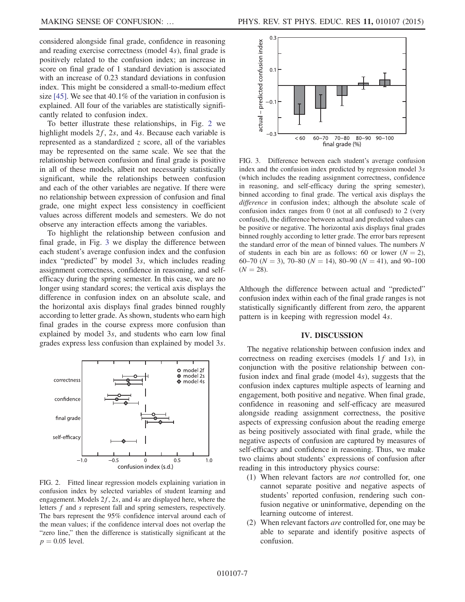considered alongside final grade, confidence in reasoning and reading exercise correctness (model 4s), final grade is positively related to the confusion index; an increase in score on final grade of 1 standard deviation is associated with an increase of 0.23 standard deviations in confusion index. This might be considered a small-to-medium effect size [\[45\].](#page-9-14) We see that 40.1% of the variation in confusion is explained. All four of the variables are statistically significantly related to confusion index.

To better illustrate these relationships, in Fig. [2](#page-6-0) we highlight models 2f, 2s, and 4s. Because each variable is represented as a standardized  $z$  score, all of the variables may be represented on the same scale. We see that the relationship between confusion and final grade is positive in all of these models, albeit not necessarily statistically significant, while the relationships between confusion and each of the other variables are negative. If there were no relationship between expression of confusion and final grade, one might expect less consistency in coefficient values across different models and semesters. We do not observe any interaction effects among the variables.

To highlight the relationship between confusion and final grade, in Fig. [3](#page-6-1) we display the difference between each student's average confusion index and the confusion index "predicted" by model 3s, which includes reading assignment correctness, confidence in reasoning, and selfefficacy during the spring semester. In this case, we are no longer using standard scores; the vertical axis displays the difference in confusion index on an absolute scale, and the horizontal axis displays final grades binned roughly according to letter grade. As shown, students who earn high final grades in the course express more confusion than explained by model 3s, and students who earn low final grades express less confusion than explained by model 3s.

<span id="page-6-0"></span>

FIG. 2. Fitted linear regression models explaining variation in confusion index by selected variables of student learning and engagement. Models  $2f$ ,  $2s$ , and  $4s$  are displayed here, where the letters f and s represent fall and spring semesters, respectively. The bars represent the 95% confidence interval around each of the mean values; if the confidence interval does not overlap the "zero line," then the difference is statistically significant at the  $p = 0.05$  level.

<span id="page-6-1"></span>

FIG. 3. Difference between each student's average confusion index and the confusion index predicted by regression model 3s (which includes the reading assignment correctness, confidence in reasoning, and self-efficacy during the spring semester), binned according to final grade. The vertical axis displays the difference in confusion index; although the absolute scale of confusion index ranges from 0 (not at all confused) to 2 (very confused), the difference between actual and predicted values can be positive or negative. The horizontal axis displays final grades binned roughly according to letter grade. The error bars represent the standard error of the mean of binned values. The numbers N of students in each bin are as follows: 60 or lower  $(N = 2)$ , 60–70 ( $N = 3$ ), 70–80 ( $N = 14$ ), 80–90 ( $N = 41$ ), and 90–100  $(N = 28)$ .

Although the difference between actual and "predicted" confusion index within each of the final grade ranges is not statistically significantly different from zero, the apparent pattern is in keeping with regression model 4s.

#### IV. DISCUSSION

The negative relationship between confusion index and correctness on reading exercises (models 1f and 1s), in conjunction with the positive relationship between confusion index and final grade (model 4s), suggests that the confusion index captures multiple aspects of learning and engagement, both positive and negative. When final grade, confidence in reasoning and self-efficacy are measured alongside reading assignment correctness, the positive aspects of expressing confusion about the reading emerge as being positively associated with final grade, while the negative aspects of confusion are captured by measures of self-efficacy and confidence in reasoning. Thus, we make two claims about students' expressions of confusion after reading in this introductory physics course:

- (1) When relevant factors are not controlled for, one cannot separate positive and negative aspects of students' reported confusion, rendering such confusion negative or uninformative, depending on the learning outcome of interest.
- (2) When relevant factors are controlled for, one may be able to separate and identify positive aspects of confusion.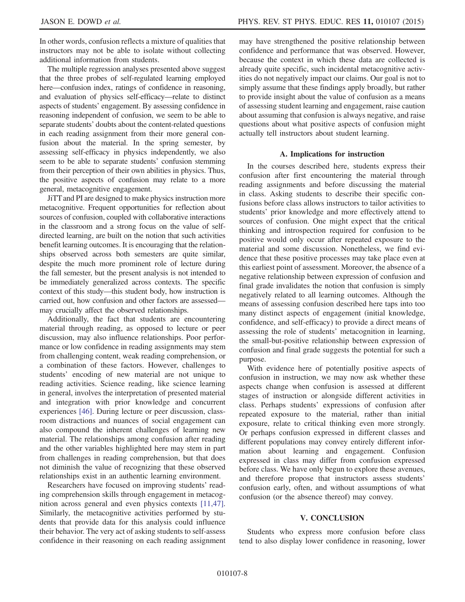In other words, confusion reflects a mixture of qualities that instructors may not be able to isolate without collecting additional information from students.

The multiple regression analyses presented above suggest that the three probes of self-regulated learning employed here—confusion index, ratings of confidence in reasoning, and evaluation of physics self-efficacy—relate to distinct aspects of students' engagement. By assessing confidence in reasoning independent of confusion, we seem to be able to separate students' doubts about the content-related questions in each reading assignment from their more general confusion about the material. In the spring semester, by assessing self-efficacy in physics independently, we also seem to be able to separate students' confusion stemming from their perception of their own abilities in physics. Thus, the positive aspects of confusion may relate to a more general, metacognitive engagement.

JiTT and PI are designed to make physics instruction more metacognitive. Frequent opportunities for reflection about sources of confusion, coupled with collaborative interactions in the classroom and a strong focus on the value of selfdirected learning, are built on the notion that such activities benefit learning outcomes. It is encouraging that the relationships observed across both semesters are quite similar, despite the much more prominent role of lecture during the fall semester, but the present analysis is not intended to be immediately generalized across contexts. The specific context of this study—this student body, how instruction is carried out, how confusion and other factors are assessed may crucially affect the observed relationships.

Additionally, the fact that students are encountering material through reading, as opposed to lecture or peer discussion, may also influence relationships. Poor performance or low confidence in reading assignments may stem from challenging content, weak reading comprehension, or a combination of these factors. However, challenges to students' encoding of new material are not unique to reading activities. Science reading, like science learning in general, involves the interpretation of presented material and integration with prior knowledge and concurrent experiences [\[46\]](#page-9-15). During lecture or peer discussion, classroom distractions and nuances of social engagement can also compound the inherent challenges of learning new material. The relationships among confusion after reading and the other variables highlighted here may stem in part from challenges in reading comprehension, but that does not diminish the value of recognizing that these observed relationships exist in an authentic learning environment.

Researchers have focused on improving students' reading comprehension skills through engagement in metacognition across general and even physics contexts [\[11,47\]](#page-8-6). Similarly, the metacognitive activities performed by students that provide data for this analysis could influence their behavior. The very act of asking students to self-assess confidence in their reasoning on each reading assignment may have strengthened the positive relationship between confidence and performance that was observed. However, because the context in which these data are collected is already quite specific, such incidental metacognitive activities do not negatively impact our claims. Our goal is not to simply assume that these findings apply broadly, but rather to provide insight about the value of confusion as a means of assessing student learning and engagement, raise caution about assuming that confusion is always negative, and raise questions about what positive aspects of confusion might actually tell instructors about student learning.

#### A. Implications for instruction

In the courses described here, students express their confusion after first encountering the material through reading assignments and before discussing the material in class. Asking students to describe their specific confusions before class allows instructors to tailor activities to students' prior knowledge and more effectively attend to sources of confusion. One might expect that the critical thinking and introspection required for confusion to be positive would only occur after repeated exposure to the material and some discussion. Nonetheless, we find evidence that these positive processes may take place even at this earliest point of assessment. Moreover, the absence of a negative relationship between expression of confusion and final grade invalidates the notion that confusion is simply negatively related to all learning outcomes. Although the means of assessing confusion described here taps into too many distinct aspects of engagement (initial knowledge, confidence, and self-efficacy) to provide a direct means of assessing the role of students' metacognition in learning, the small-but-positive relationship between expression of confusion and final grade suggests the potential for such a purpose.

With evidence here of potentially positive aspects of confusion in instruction, we may now ask whether these aspects change when confusion is assessed at different stages of instruction or alongside different activities in class. Perhaps students' expressions of confusion after repeated exposure to the material, rather than initial exposure, relate to critical thinking even more strongly. Or perhaps confusion expressed in different classes and different populations may convey entirely different information about learning and engagement. Confusion expressed in class may differ from confusion expressed before class. We have only begun to explore these avenues, and therefore propose that instructors assess students' confusion early, often, and without assumptions of what confusion (or the absence thereof) may convey.

### V. CONCLUSION

Students who express more confusion before class tend to also display lower confidence in reasoning, lower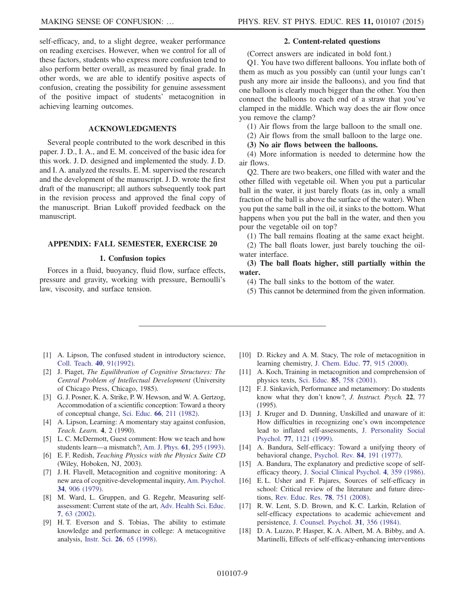self-efficacy, and, to a slight degree, weaker performance on reading exercises. However, when we control for all of these factors, students who express more confusion tend to also perform better overall, as measured by final grade. In other words, we are able to identify positive aspects of confusion, creating the possibility for genuine assessment of the positive impact of students' metacognition in achieving learning outcomes.

# ACKNOWLEDGMENTS

Several people contributed to the work described in this paper. J. D., I. A., and E. M. conceived of the basic idea for this work. J. D. designed and implemented the study. J. D. and I. A. analyzed the results. E. M. supervised the research and the development of the manuscript. J. D. wrote the first draft of the manuscript; all authors subsequently took part in the revision process and approved the final copy of the manuscript. Brian Lukoff provided feedback on the manuscript.

#### APPENDIX: FALL SEMESTER, EXERCISE 20

#### 1. Confusion topics

Forces in a fluid, buoyancy, fluid flow, surface effects, pressure and gravity, working with pressure, Bernoulli's law, viscosity, and surface tension.

## 2. Content-related questions

(Correct answers are indicated in bold font.)

Q1. You have two different balloons. You inflate both of them as much as you possibly can (until your lungs can't push any more air inside the balloons), and you find that one balloon is clearly much bigger than the other. You then connect the balloons to each end of a straw that you've clamped in the middle. Which way does the air flow once you remove the clamp?

(1) Air flows from the large balloon to the small one.

(2) Air flows from the small balloon to the large one.

(3) No air flows between the balloons.

(4) More information is needed to determine how the air flows.

Q2. There are two beakers, one filled with water and the other filled with vegetable oil. When you put a particular ball in the water, it just barely floats (as in, only a small fraction of the ball is above the surface of the water). When you put the same ball in the oil, it sinks to the bottom. What happens when you put the ball in the water, and then you pour the vegetable oil on top?

(1) The ball remains floating at the same exact height.

(2) The ball floats lower, just barely touching the oilwater interface.

(3) The ball floats higher, still partially within the water.

- (4) The ball sinks to the bottom of the water.
- (5) This cannot be determined from the given information.
- <span id="page-8-0"></span>[1] A. Lipson, The confused student in introductory science, [Coll. Teach.](http://dx.doi.org/10.1080/87567555.1992.10532223) 40, 91(1992).
- <span id="page-8-1"></span>[2] J. Piaget, The Equilibration of Cognitive Structures: The Central Problem of Intellectual Development (University of Chicago Press, Chicago, 1985).
- [3] G. J. Posner, K. A. Strike, P. W. Hewson, and W. A. Gertzog, Accommodation of a scientific conception: Toward a theory of conceptual change, Sci. Educ. 66[, 211 \(1982\)](http://dx.doi.org/10.1002/sce.3730660207).
- [4] A. Lipson, Learning: A momentary stay against confusion, Teach. Learn. 4, 2 (1990).
- [5] L. C. McDermott, Guest comment: How we teach and how students learn—a mismatch?, [Am. J. Phys.](http://dx.doi.org/10.1119/1.17258) 61, 295 (1993).
- [6] E. F. Redish, Teaching Physics with the Physics Suite CD (Wiley, Hoboken, NJ, 2003).
- <span id="page-8-2"></span>[7] J. H. Flavell, Metacognition and cognitive monitoring: A new area of cognitive-developmental inquiry, [Am. Psychol.](http://dx.doi.org/10.1037/0003-066X.34.10.906) 34[, 906 \(1979\).](http://dx.doi.org/10.1037/0003-066X.34.10.906)
- <span id="page-8-3"></span>[8] M. Ward, L. Gruppen, and G. Regehr, Measuring selfassessment: Current state of the art, [Adv. Health Sci. Educ.](http://dx.doi.org/10.1023/A:1014585522084) 7[, 63 \(2002\)](http://dx.doi.org/10.1023/A:1014585522084).
- <span id="page-8-4"></span>[9] H. T. Everson and S. Tobias, The ability to estimate knowledge and performance in college: A metacognitive analysis, Instr. Sci. 26[, 65 \(1998\)](http://dx.doi.org/10.1023/A:1003040130125).
- <span id="page-8-5"></span>[10] D. Rickey and A. M. Stacy, The role of metacognition in learning chemistry, [J. Chem. Educ.](http://dx.doi.org/10.1021/ed077p915) 77, 915 (2000).
- <span id="page-8-6"></span>[11] A. Koch, Training in metacognition and comprehension of physics texts, Sci. Educ. 85[, 758 \(2001\).](http://dx.doi.org/10.1002/sce.1037)
- <span id="page-8-7"></span>[12] F. J. Sinkavich, Performance and metamemory: Do students know what they don't know?, J. Instruct. Psych. 22, 77 (1995).
- <span id="page-8-8"></span>[13] J. Kruger and D. Dunning, Unskilled and unaware of it: How difficulties in recognizing one's own incompetence lead to inflated self-assessments, [J. Personality Social](http://dx.doi.org/10.1037/0022-3514.77.6.1121) Psychol. 77[, 1121 \(1999\)](http://dx.doi.org/10.1037/0022-3514.77.6.1121).
- <span id="page-8-9"></span>[14] A. Bandura, Self-efficacy: Toward a unifying theory of behavioral change, [Psychol. Rev.](http://dx.doi.org/10.1037/0033-295X.84.2.191) 84, 191 (1977).
- <span id="page-8-10"></span>[15] A. Bandura, The explanatory and predictive scope of selfefficacy theory, [J. Social Clinical Psychol.](http://dx.doi.org/10.1521/jscp.1986.4.3.359) 4, 359 (1986).
- <span id="page-8-11"></span>[16] E. L. Usher and F. Pajares, Sources of self-efficacy in school: Critical review of the literature and future directions, [Rev. Educ. Res.](http://dx.doi.org/10.3102/0034654308321456) 78, 751 (2008).
- <span id="page-8-12"></span>[17] R. W. Lent, S. D. Brown, and K. C. Larkin, Relation of self-efficacy expectations to academic achievement and persistence, [J. Counsel. Psychol.](http://dx.doi.org/10.1037/0022-0167.31.3.356) 31, 356 (1984).
- [18] D. A. Luzzo, P. Hasper, K. A. Albert, M. A. Bibby, and A. Martinelli, Effects of self-efficacy-enhancing interventions